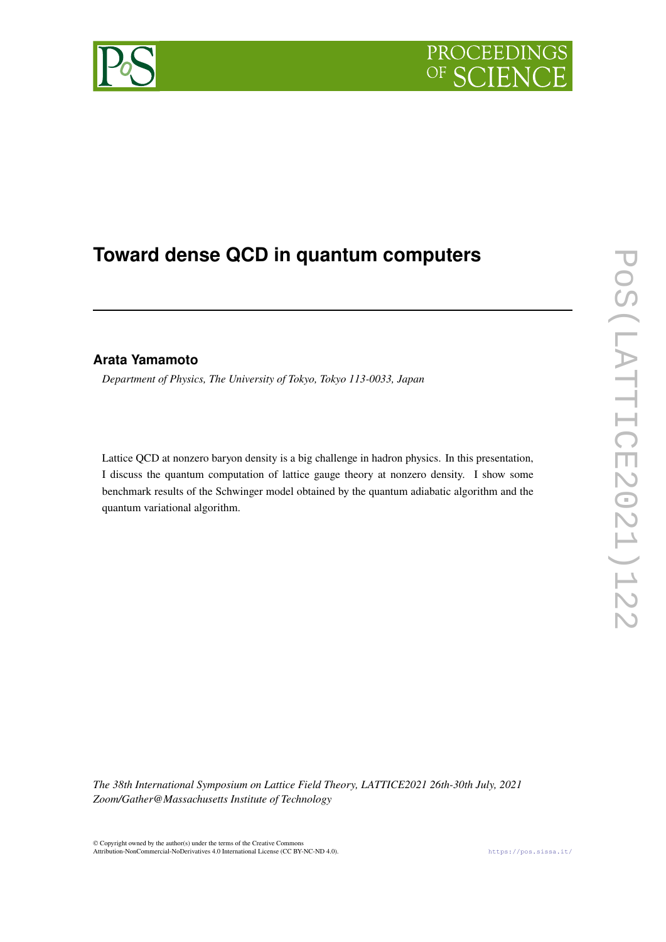

# **Toward dense QCD in quantum computers**

# **Arata Yamamoto**

*Department of Physics, The University of Tokyo, Tokyo 113-0033, Japan*

Lattice QCD at nonzero baryon density is a big challenge in hadron physics. In this presentation, I discuss the quantum computation of lattice gauge theory at nonzero density. I show some benchmark results of the Schwinger model obtained by the quantum adiabatic algorithm and the quantum variational algorithm.

*The 38th International Symposium on Lattice Field Theory, LATTICE2021 26th-30th July, 2021 Zoom/Gather@Massachusetts Institute of Technology*

© Copyright owned by the author(s) under the terms of the Creative Commons Attribution-NonCommercial-NoDerivatives 4.0 International License (CC BY-NC-ND 4.0). <https://pos.sissa.it/>

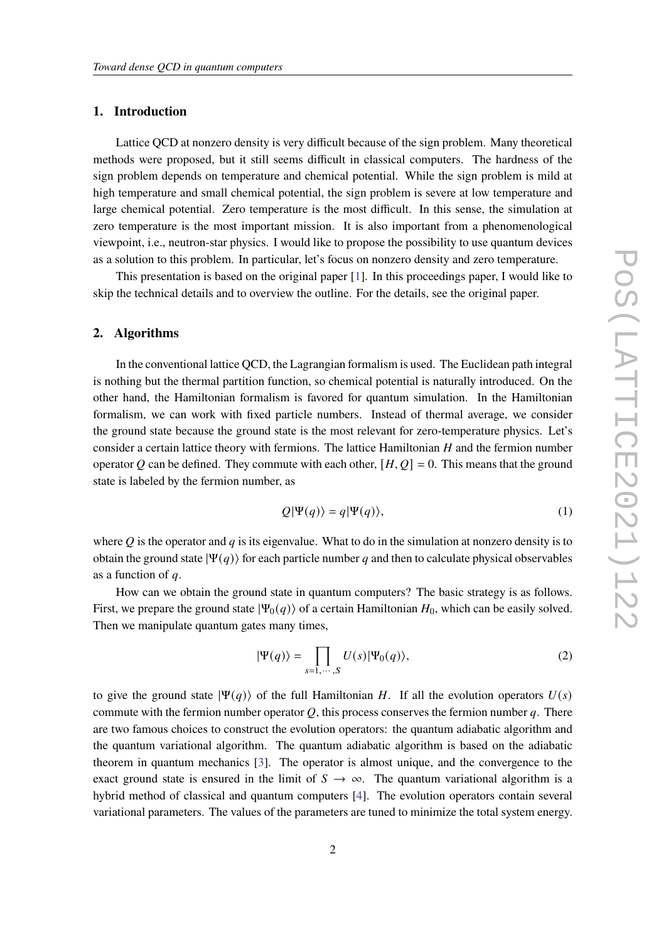#### **1. Introduction**

Lattice QCD at nonzero density is very difficult because of the sign problem. Many theoretical methods were proposed, but it still seems difficult in classical computers. The hardness of the sign problem depends on temperature and chemical potential. While the sign problem is mild at high temperature and small chemical potential, the sign problem is severe at low temperature and large chemical potential. Zero temperature is the most difficult. In this sense, the simulation at zero temperature is the most important mission. It is also important from a phenomenological viewpoint, i.e., neutron-star physics. I would like to propose the possibility to use quantum devices as a solution to this problem. In particular, let's focus on nonzero density and zero temperature.

This presentation is based on the original paper [\[1\]](#page-5-0). In this proceedings paper, I would like to skip the technical details and to overview the outline. For the details, see the original paper.

#### **2. Algorithms**

In the conventional lattice QCD, the Lagrangian formalism is used. The Euclidean path integral is nothing but the thermal partition function, so chemical potential is naturally introduced. On the other hand, the Hamiltonian formalism is favored for quantum simulation. In the Hamiltonian formalism, we can work with fixed particle numbers. Instead of thermal average, we consider the ground state because the ground state is the most relevant for zero-temperature physics. Let's consider a certain lattice theory with fermions. The lattice Hamiltonian  $H$  and the fermion number operator O can be defined. They commute with each other,  $[H, Q] = 0$ . This means that the ground state is labeled by the fermion number, as

$$
Q|\Psi(q)\rangle = q|\Psi(q)\rangle,\tag{1}
$$

where Q is the operator and  $q$  is its eigenvalue. What to do in the simulation at nonzero density is to obtain the ground state  $|\Psi(q)\rangle$  for each particle number q and then to calculate physical observables as a function of  $q$ .

How can we obtain the ground state in quantum computers? The basic strategy is as follows. First, we prepare the ground state  $|\Psi_0(q)\rangle$  of a certain Hamiltonian  $H_0$ , which can be easily solved. Then we manipulate quantum gates many times,

$$
|\Psi(q)\rangle = \prod_{s=1,\cdots,S} U(s)|\Psi_0(q)\rangle,\tag{2}
$$

to give the ground state  $|\Psi(q)\rangle$  of the full Hamiltonian H. If all the evolution operators  $U(s)$ commute with the fermion number operator  $Q$ , this process conserves the fermion number q. There are two famous choices to construct the evolution operators: the quantum adiabatic algorithm and the quantum variational algorithm. The quantum adiabatic algorithm is based on the adiabatic theorem in quantum mechanics [\[3\]](#page-5-1). The operator is almost unique, and the convergence to the exact ground state is ensured in the limit of  $S \to \infty$ . The quantum variational algorithm is a hybrid method of classical and quantum computers [\[4\]](#page-5-2). The evolution operators contain several variational parameters. The values of the parameters are tuned to minimize the total system energy.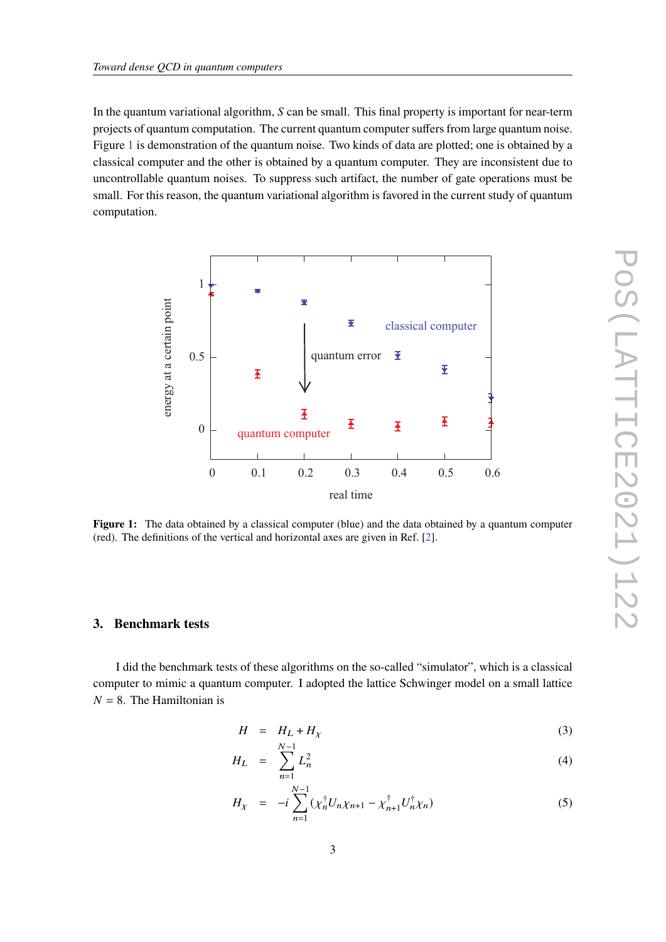In the quantum variational algorithm,  $S$  can be small. This final property is important for near-term projects of quantum computation. The current quantum computer suffers from large quantum noise. Figure [1](#page-2-0) is demonstration of the quantum noise. Two kinds of data are plotted; one is obtained by a classical computer and the other is obtained by a quantum computer. They are inconsistent due to uncontrollable quantum noises. To suppress such artifact, the number of gate operations must be small. For this reason, the quantum variational algorithm is favored in the current study of quantum computation.

<span id="page-2-0"></span>

**Figure 1:** The data obtained by a classical computer (blue) and the data obtained by a quantum computer (red). The definitions of the vertical and horizontal axes are given in Ref. [\[2\]](#page-5-3).

# **3. Benchmark tests**

I did the benchmark tests of these algorithms on the so-called "simulator", which is a classical computer to mimic a quantum computer. I adopted the lattice Schwinger model on a small lattice  $N = 8$ . The Hamiltonian is

$$
H = H_L + H_\chi \tag{3}
$$

$$
H_L = \sum_{n=1}^{N-1} L_n^2 \tag{4}
$$

$$
H_{\chi} = -i \sum_{n=1}^{N-1} (\chi_n^{\dagger} U_n \chi_{n+1} - \chi_{n+1}^{\dagger} U_n^{\dagger} \chi_n)
$$
 (5)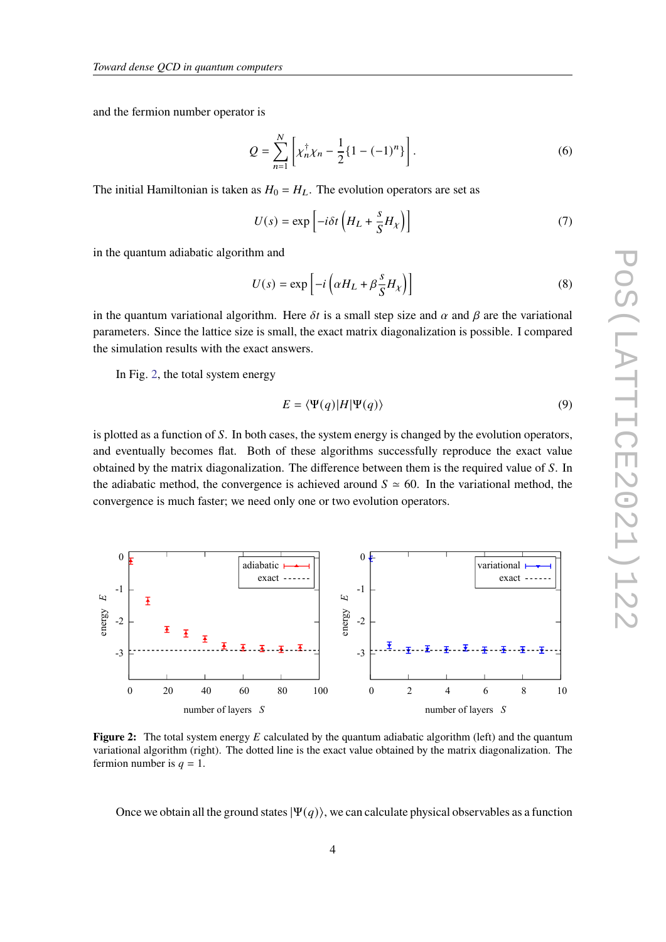and the fermion number operator is

$$
Q = \sum_{n=1}^{N} \left[ \chi_n^{\dagger} \chi_n - \frac{1}{2} \{ 1 - (-1)^n \} \right].
$$
 (6)

The initial Hamiltonian is taken as  $H_0 = H_L$ . The evolution operators are set as

$$
U(s) = \exp\left[-i\delta t \left(H_L + \frac{s}{S} H_\chi\right)\right]
$$
 (7)

in the quantum adiabatic algorithm and

$$
U(s) = \exp\left[-i\left(\alpha H_L + \beta \frac{s}{S} H_\chi\right)\right]
$$
 (8)

in the quantum variational algorithm. Here  $\delta t$  is a small step size and  $\alpha$  and  $\beta$  are the variational parameters. Since the lattice size is small, the exact matrix diagonalization is possible. I compared the simulation results with the exact answers.

In Fig. [2,](#page-3-0) the total system energy

$$
E = \langle \Psi(q) | H | \Psi(q) \rangle \tag{9}
$$

is plotted as a function of S. In both cases, the system energy is changed by the evolution operators, and eventually becomes flat. Both of these algorithms successfully reproduce the exact value obtained by the matrix diagonalization. The difference between them is the required value of S. In the adiabatic method, the convergence is achieved around  $S \approx 60$ . In the variational method, the convergence is much faster; we need only one or two evolution operators.

<span id="page-3-0"></span>

**Figure 2:** The total system energy E calculated by the quantum adiabatic algorithm (left) and the quantum variational algorithm (right). The dotted line is the exact value obtained by the matrix diagonalization. The fermion number is  $q = 1$ .

Once we obtain all the ground states  $|\Psi(q)\rangle$ , we can calculate physical observables as a function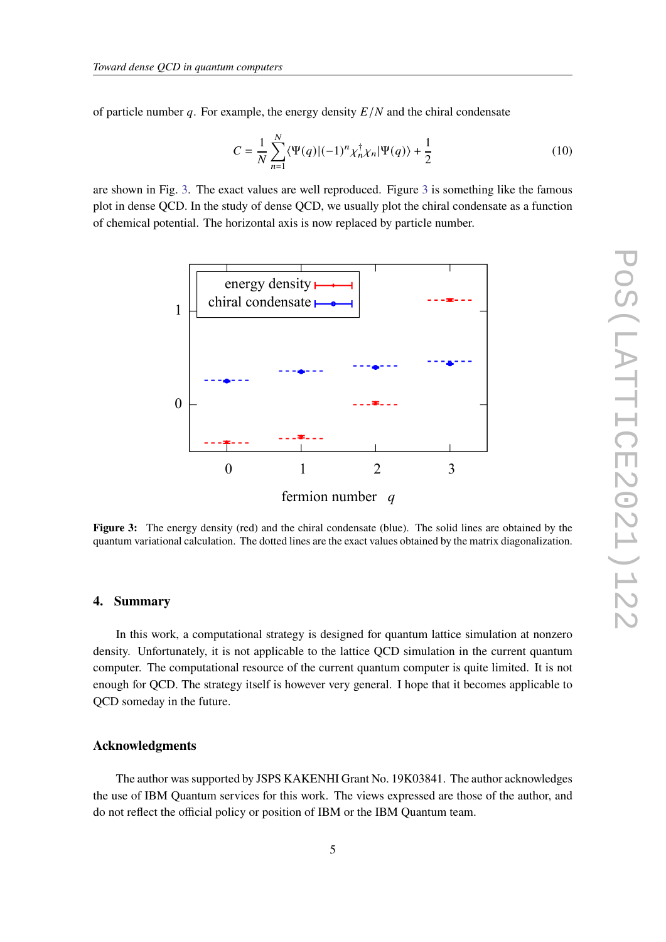of particle number q. For example, the energy density  $E/N$  and the chiral condensate

$$
C = \frac{1}{N} \sum_{n=1}^{N} \langle \Psi(q) | (-1)^n \chi_n^{\dagger} \chi_n | \Psi(q) \rangle + \frac{1}{2}
$$
 (10)

<span id="page-4-0"></span>are shown in Fig. [3.](#page-4-0) The exact values are well reproduced. Figure [3](#page-4-0) is something like the famous plot in dense QCD. In the study of dense QCD, we usually plot the chiral condensate as a function of chemical potential. The horizontal axis is now replaced by particle number.



**Figure 3:** The energy density (red) and the chiral condensate (blue). The solid lines are obtained by the quantum variational calculation. The dotted lines are the exact values obtained by the matrix diagonalization.

#### **4. Summary**

In this work, a computational strategy is designed for quantum lattice simulation at nonzero density. Unfortunately, it is not applicable to the lattice QCD simulation in the current quantum computer. The computational resource of the current quantum computer is quite limited. It is not enough for QCD. The strategy itself is however very general. I hope that it becomes applicable to QCD someday in the future.

### **Acknowledgments**

The author was supported by JSPS KAKENHI Grant No. 19K03841. The author acknowledges the use of IBM Quantum services for this work. The views expressed are those of the author, and do not reflect the official policy or position of IBM or the IBM Quantum team.